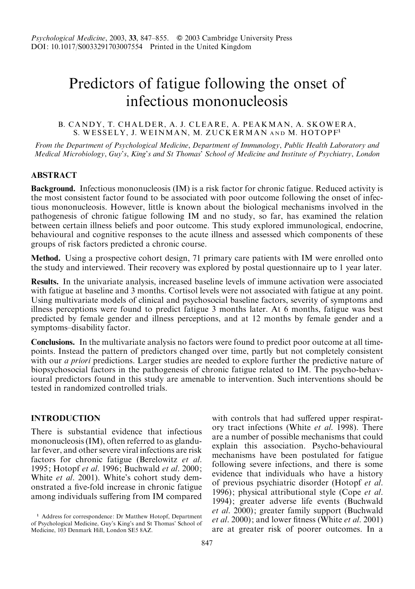# Predictors of fatigue following the onset of infectious mononucleosis

# B. CANDY, T. CHALDER, A. J. CLEARE, A. PEAKMAN, A. SKOWERA, S. WESSELY, J. WEINMAN, M. ZUCKERMAN AND M. HOTOPF<sup>1</sup>

From the Department of Psychological Medicine, Department of Immunology, Public Health Laboratory and Medical Microbiology, Guy's, King's and St Thomas' School of Medicine and Institute of Psychiatry, London

# **ABSTRACT**

Background. Infectious mononucleosis (IM) is a risk factor for chronic fatigue. Reduced activity is the most consistent factor found to be associated with poor outcome following the onset of infectious mononucleosis. However, little is known about the biological mechanisms involved in the pathogenesis of chronic fatigue following IM and no study, so far, has examined the relation between certain illness beliefs and poor outcome. This study explored immunological, endocrine, behavioural and cognitive responses to the acute illness and assessed which components of these groups of risk factors predicted a chronic course.

Method. Using a prospective cohort design, 71 primary care patients with IM were enrolled onto the study and interviewed. Their recovery was explored by postal questionnaire up to 1 year later.

Results. In the univariate analysis, increased baseline levels of immune activation were associated with fatigue at baseline and 3 months. Cortisol levels were not associated with fatigue at any point. Using multivariate models of clinical and psychosocial baseline factors, severity of symptoms and illness perceptions were found to predict fatigue 3 months later. At 6 months, fatigue was best predicted by female gender and illness perceptions, and at 12 months by female gender and a symptoms–disability factor.

Conclusions. In the multivariate analysis no factors were found to predict poor outcome at all timepoints. Instead the pattern of predictors changed over time, partly but not completely consistent with our *a priori* predictions. Larger studies are needed to explore further the predictive nature of biopsychosocial factors in the pathogenesis of chronic fatigue related to IM. The psycho-behavioural predictors found in this study are amenable to intervention. Such interventions should be tested in randomized controlled trials.

# INTRODUCTION

There is substantial evidence that infectious mononucleosis (IM), often referred to as glandular fever, and other severe viral infections are risk factors for chronic fatigue (Berelowitz et al. 1995; Hotopf et al. 1996; Buchwald et al. 2000; White et al. 2001). White's cohort study demonstrated a five-fold increase in chronic fatigue among individuals suffering from IM compared with controls that had suffered upper respiratory tract infections (White et al. 1998). There are a number of possible mechanisms that could explain this association. Psycho-behavioural mechanisms have been postulated for fatigue following severe infections, and there is some evidence that individuals who have a history of previous psychiatric disorder (Hotopf et al. 1996); physical attributional style (Cope et al. 1994); greater adverse life events (Buchwald et al. 2000); greater family support (Buchwald et al. 2000); and lower fitness (White et al. 2001) are at greater risk of poorer outcomes. In a

<sup>1</sup> Address for correspondence: Dr Matthew Hotopf, Department of Psychological Medicine, Guy's King's and St Thomas' School of Medicine, 103 Denmark Hill, London SE5 8AZ.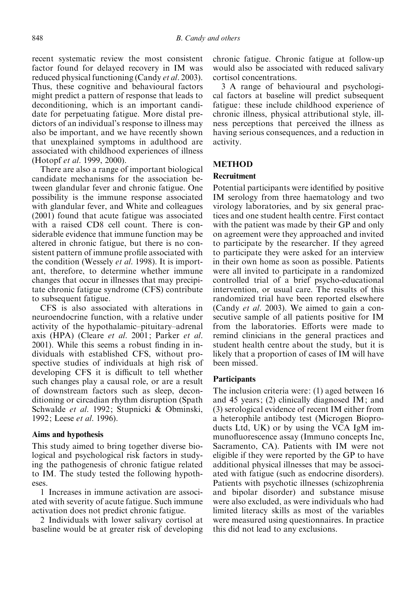recent systematic review the most consistent factor found for delayed recovery in IM was reduced physical functioning (Candy et al. 2003). Thus, these cognitive and behavioural factors might predict a pattern of response that leads to deconditioning, which is an important candidate for perpetuating fatigue. More distal predictors of an individual's response to illness may also be important, and we have recently shown that unexplained symptoms in adulthood are associated with childhood experiences of illness (Hotopf et al. 1999, 2000).

There are also a range of important biological candidate mechanisms for the association between glandular fever and chronic fatigue. One possibility is the immune response associated with glandular fever, and White and colleagues (2001) found that acute fatigue was associated with a raised CD8 cell count. There is considerable evidence that immune function may be altered in chronic fatigue, but there is no consistent pattern of immune profile associated with the condition (Wessely *et al.* 1998). It is important, therefore, to determine whether immune changes that occur in illnesses that may precipitate chronic fatigue syndrome (CFS) contribute to subsequent fatigue.

CFS is also associated with alterations in neuroendocrine function, with a relative under activity of the hypothalamic–pituitary–adrenal axis (HPA) (Cleare et al. 2001; Parker et al. 2001). While this seems a robust finding in individuals with established CFS, without prospective studies of individuals at high risk of developing CFS it is difficult to tell whether such changes play a causal role, or are a result of downstream factors such as sleep, deconditioning or circadian rhythm disruption (Spath Schwalde et al. 1992; Stupnicki & Obminski, 1992; Leese *et al.* 1996).

## Aims and hypothesis

This study aimed to bring together diverse biological and psychological risk factors in studying the pathogenesis of chronic fatigue related to IM. The study tested the following hypotheses.

1 Increases in immune activation are associated with severity of acute fatigue. Such immune activation does not predict chronic fatigue.

2 Individuals with lower salivary cortisol at baseline would be at greater risk of developing chronic fatigue. Chronic fatigue at follow-up would also be associated with reduced salivary cortisol concentrations.

3 A range of behavioural and psychological factors at baseline will predict subsequent fatigue: these include childhood experience of chronic illness, physical attributional style, illness perceptions that perceived the illness as having serious consequences, and a reduction in activity.

# METHOD

## Recruitment

Potential participants were identified by positive IM serology from three haematology and two virology laboratories, and by six general practices and one student health centre. First contact with the patient was made by their GP and only on agreement were they approached and invited to participate by the researcher. If they agreed to participate they were asked for an interview in their own home as soon as possible. Patients were all invited to participate in a randomized controlled trial of a brief psycho-educational intervention, or usual care. The results of this randomized trial have been reported elsewhere (Candy et al. 2003). We aimed to gain a consecutive sample of all patients positive for IM from the laboratories. Efforts were made to remind clinicians in the general practices and student health centre about the study, but it is likely that a proportion of cases of IM will have been missed.

# Participants

The inclusion criteria were: (1) aged between 16 and 45 years; (2) clinically diagnosed IM; and (3) serological evidence of recent IM either from a heterophile antibody test (Microgen Bioproducts Ltd, UK) or by using the VCA IgM immunofluorescence assay (Immuno concepts Inc, Sacramento, CA). Patients with IM were not eligible if they were reported by the GP to have additional physical illnesses that may be associated with fatigue (such as endocrine disorders). Patients with psychotic illnesses (schizophrenia and bipolar disorder) and substance misuse were also excluded, as were individuals who had limited literacy skills as most of the variables were measured using questionnaires. In practice this did not lead to any exclusions.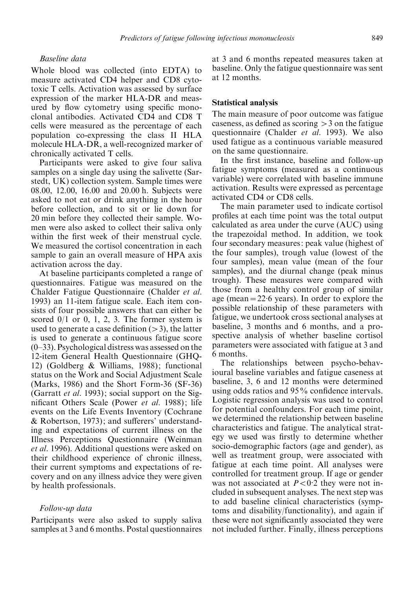# Baseline data

Whole blood was collected (into EDTA) to measure activated CD4 helper and CD8 cytotoxic T cells. Activation was assessed by surface expression of the marker HLA-DR and measured by flow cytometry using specific monoclonal antibodies. Activated CD4 and CD8 T cells were measured as the percentage of each population co-expressing the class II HLA molecule HLA-DR, a well-recognized marker of chronically activated T cells.

Participants were asked to give four saliva samples on a single day using the salivette (Sarstedt, UK) collection system. Sample times were 08.00, 12.00, 16.00 and 20.00 h. Subjects were asked to not eat or drink anything in the hour before collection, and to sit or lie down for 20 min before they collected their sample. Women were also asked to collect their saliva only within the first week of their menstrual cycle. We measured the cortisol concentration in each sample to gain an overall measure of HPA axis activation across the day.

At baseline participants completed a range of questionnaires. Fatigue was measured on the Chalder Fatigue Questionnaire (Chalder et al. 1993) an 11-item fatigue scale. Each item consists of four possible answers that can either be scored  $0/1$  or 0, 1, 2, 3. The former system is used to generate a case definition  $(>3)$ , the latter is used to generate a continuous fatigue score  $(0-33)$ . Psychological distress was assessed on the 12-item General Health Questionnaire (GHQ-12) (Goldberg & Williams, 1988); functional status on the Work and Social Adjustment Scale (Marks, 1986) and the Short Form-36 (SF-36) (Garratt et al. 1993); social support on the Significant Others Scale (Power et al. 1988); life events on the Life Events Inventory (Cochrane & Robertson, 1973); and sufferers' understanding and expectations of current illness on the Illness Perceptions Questionnaire (Weinman et al. 1996). Additional questions were asked on their childhood experience of chronic illness, their current symptoms and expectations of recovery and on any illness advice they were given by health professionals.

#### Follow-up data

Participants were also asked to supply saliva samples at 3 and 6 months. Postal questionnaires at 3 and 6 months repeated measures taken at baseline. Only the fatigue questionnaire was sent at 12 months.

#### Statistical analysis

The main measure of poor outcome was fatigue caseness, as defined as scoring  $>$ 3 on the fatigue questionnaire (Chalder et al. 1993). We also used fatigue as a continuous variable measured on the same questionnaire.

In the first instance, baseline and follow-up fatigue symptoms (measured as a continuous variable) were correlated with baseline immune activation. Results were expressed as percentage activated CD4 or CD8 cells.

The main parameter used to indicate cortisol profiles at each time point was the total output calculated as area under the curve (AUC) using the trapezoidal method. In addition, we took four secondary measures: peak value (highest of the four samples), trough value (lowest of the four samples), mean value (mean of the four samples), and the diurnal change (peak minus trough). These measures were compared with those from a healthy control group of similar age (mean =  $22.6$  years). In order to explore the possible relationship of these parameters with fatigue, we undertook cross sectional analyses at baseline, 3 months and 6 months, and a prospective analysis of whether baseline cortisol parameters were associated with fatigue at 3 and 6 months.

The relationships between psycho-behavioural baseline variables and fatigue caseness at baseline, 3, 6 and 12 months were determined using odds ratios and 95% confidence intervals. Logistic regression analysis was used to control for potential confounders. For each time point, we determined the relationship between baseline characteristics and fatigue. The analytical strategy we used was firstly to determine whether socio-demographic factors (age and gender), as well as treatment group, were associated with fatigue at each time point. All analyses were controlled for treatment group. If age or gender was not associated at  $P < 0.2$  they were not included in subsequent analyses. The next step was to add baseline clinical characteristics (symptoms and disability/functionality), and again if these were not significantly associated they were not included further. Finally, illness perceptions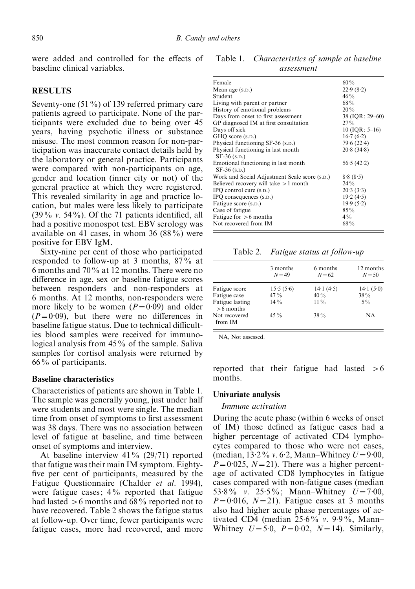were added and controlled for the effects of baseline clinical variables.

# **RESULTS**

Seventy-one (51%) of 139 referred primary care patients agreed to participate. None of the participants were excluded due to being over 45 years, having psychotic illness or substance misuse. The most common reason for non-participation was inaccurate contact details held by the laboratory or general practice. Participants were compared with non-participants on age, gender and location (inner city or not) of the general practice at which they were registered. This revealed similarity in age and practice location, but males were less likely to participate (39% v. 54%). Of the 71 patients identified, all had a positive monospot test. EBV serology was available on 41 cases, in whom 36  $(88\%)$  were positive for EBV IgM.

Sixty-nine per cent of those who participated responded to follow-up at 3 months, 87% at 6 months and 70% at 12 months. There were no difference in age, sex or baseline fatigue scores between responders and non-responders at 6 months. At 12 months, non-responders were more likely to be women  $(P=0.09)$  and older  $(P=0.09)$ , but there were no differences in baseline fatigue status. Due to technical difficulties blood samples were received for immunological analysis from 45% of the sample. Saliva samples for cortisol analysis were returned by 66% of participants.

## Baseline characteristics

Characteristics of patients are shown in Table 1. The sample was generally young, just under half were students and most were single. The median time from onset of symptoms to first assessment was 38 days. There was no association between level of fatigue at baseline, and time between onset of symptoms and interview.

At baseline interview 41% (29/71) reported that fatigue was their main IM symptom. Eightyfive per cent of participants, measured by the Fatigue Questionnaire (Chalder et al. 1994), were fatigue cases; 4% reported that fatigue had lasted  $>6$  months and 68% reported not to have recovered. Table 2 shows the fatigue status at follow-up. Over time, fewer participants were fatigue cases, more had recovered, and more

Table 1. Characteristics of sample at baseline assessment

| Female                                        | 60%              |
|-----------------------------------------------|------------------|
| Mean age (s.p.)                               | 22.9(8.2)        |
| Student                                       | $46\%$           |
| Living with parent or partner                 | 68%              |
| History of emotional problems                 | 20%              |
| Days from onset to first assessment           | 38 (IQR: 29–60)  |
| GP diagnosed IM at first consultation         | $27\%$           |
| Days off sick                                 | $10$ (IQR: 5–16) |
| GHO score (s.p.)                              | 16.7(6.2)        |
| Physical functioning SF-36 (s.p.)             | 79.6(22.4)       |
| Physical functioning in last month            | 20.8(34.8)       |
| $SF-36$ (s.p.)                                |                  |
| Emotional functioning in last month           | 56.5(42.2)       |
| $SF-36$ (s.p.)                                |                  |
| Work and Social Adjustment Scale score (s.p.) | 8.8(8.5)         |
| Believed recovery will take $>1$ month        | $24\%$           |
| IPO control cure (s.p.)                       | 20.3(3.3)        |
| IPO consequences (s.p.)                       | 19.2(4.5)        |
| Fatigue score (s.p.)                          | 19.9(5.2)        |
| Case of fatigue                               | $85\%$           |
| Fatigue for $>6$ months                       | $4\%$            |
| Not recovered from IM                         | $68\%$           |
|                                               |                  |

Table 2. Fatigue status at follow-up

|                                | 3 months<br>$N = 49$ | 6 months<br>$N = 62$ | 12 months<br>$N = 50$ |
|--------------------------------|----------------------|----------------------|-----------------------|
| Fatigue score                  | 15.5(5.6)            | 14.1(4.5)            | 14.1(5.0)             |
| Fatigue case                   | $47\%$               | 40%                  | 38%                   |
| Fatigue lasting<br>$>6$ months | $14\%$               | $11\%$               | $5\%$                 |
| Not recovered<br>from IM       | $45\%$               | $38\%$               | NA                    |

NA, Not assessed.

reported that their fatigue had lasted  $>6$ months.

#### Univariate analysis

#### Immune activation

During the acute phase (within 6 weeks of onset of IM) those defined as fatigue cases had a higher percentage of activated CD4 lymphocytes compared to those who were not cases, (median,  $13.2\%$  v. 6.2, Mann–Whitney  $U = 9.00$ ,  $P=0.025$ ,  $N=21$ ). There was a higher percentage of activated CD8 lymphocytes in fatigue cases compared with non-fatigue cases (median 53.8% v. 25.5%; Mann–Whitney  $U = 7.00$ ,  $P=0.016$ ,  $N=21$ ). Fatigue cases at 3 months also had higher acute phase percentages of activated CD4 (median  $25.6\%$  v. 9.9%, Mann-Whitney  $U = 5.0$ ,  $P = 0.02$ ,  $N = 14$ ). Similarly,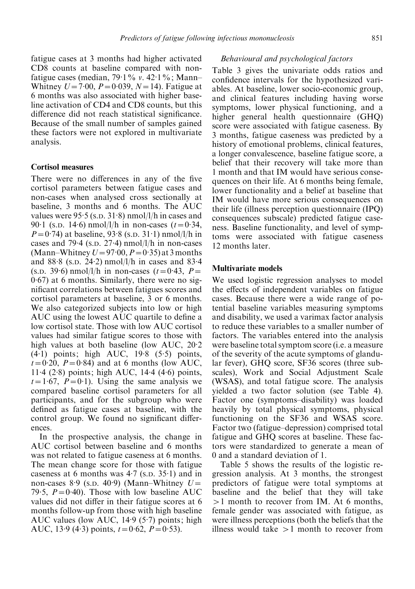fatigue cases at 3 months had higher activated CD8 counts at baseline compared with nonfatigue cases (median,  $79.1\%$  v.  $42.1\%$ ; Mann-Whitney  $U = 7.00$ ,  $P = 0.039$ ,  $N = 14$ ). Fatigue at 6 months was also associated with higher baseline activation of CD4 and CD8 counts, but this difference did not reach statistical significance. Because of the small number of samples gained these factors were not explored in multivariate analysis.

### Cortisol measures

There were no differences in any of the five cortisol parameters between fatigue cases and non-cases when analysed cross sectionally at baseline, 3 months and 6 months. The AUC values were 95.5 (s.p. 31.8) nmol/l/h in cases and 90.1 (s.p. 14.6) nmol/l/h in non-cases  $(t=0.34,$  $P = 0.74$ ) at baseline, 93.8 (s.p. 31.1) nmol/l/h in cases and 79.4 (s.p. 27.4)  $\text{nmol/l/h}$  in non-cases (Mann–Whitney  $U=97.00, P=0.35$ ) at 3 months and 88.8 (s.p. 24.2) nmol/l/h in cases and 83.4 (s.p. 39.6) nmol/l/h in non-cases  $(t=0.43, P=$ 0. 67) at 6 months. Similarly, there were no significant correlations between fatigues scores and cortisol parameters at baseline, 3 or 6 months. We also categorized subjects into low or high AUC using the lowest AUC quartile to define a low cortisol state. Those with low AUC cortisol values had similar fatigue scores to those with high values at both baseline (low AUC, 20. 2 (4. 1) points; high AUC, 19. 8 (5. 5) points,  $t=0.20$ ,  $P=0.84$ ) and at 6 months (low AUC, 11. 4 (2. 8) points; high AUC, 14. 4 (4. 6) points,  $t=1.\overline{67}$ ,  $P=0.1$ ). Using the same analysis we compared baseline cortisol parameters for all participants, and for the subgroup who were defined as fatigue cases at baseline, with the control group. We found no significant differences.

In the prospective analysis, the change in AUC cortisol between baseline and 6 months was not related to fatigue caseness at 6 months. The mean change score for those with fatigue caseness at 6 months was 4. 7 (S.D. 35. 1) and in non-cases 8.9 (s.p. 40.9) (Mann–Whitney  $U=$ 79.5,  $P=0.40$ ). Those with low baseline AUC values did not differ in their fatigue scores at 6 months follow-up from those with high baseline AUC values (low AUC, 14. 9 (5. 7) points; high AUC, 13.9 (4.3) points,  $t=0.62$ ,  $P=0.53$ ).

# Behavioural and psychological factors

Table 3 gives the univariate odds ratios and confidence intervals for the hypothesized variables. At baseline, lower socio-economic group, and clinical features including having worse symptoms, lower physical functioning, and a higher general health questionnaire (GHQ) score were associated with fatigue caseness. By 3 months, fatigue caseness was predicted by a history of emotional problems, clinical features, a longer convalescence, baseline fatigue score, a belief that their recovery will take more than 1 month and that IM would have serious consequences on their life. At 6 months being female, lower functionality and a belief at baseline that IM would have more serious consequences on their life (illness perception questionnaire (IPQ) consequences subscale) predicted fatigue caseness. Baseline functionality, and level of symptoms were associated with fatigue caseness 12 months later.

#### Multivariate models

We used logistic regression analyses to model the effects of independent variables on fatigue cases. Because there were a wide range of potential baseline variables measuring symptoms and disability, we used a varimax factor analysis to reduce these variables to a smaller number of factors. The variables entered into the analysis were baseline total symptom score (i.e. a measure of the severity of the acute symptoms of glandular fever), GHQ score, SF36 scores (three subscales), Work and Social Adjustment Scale (WSAS), and total fatigue score. The analysis yielded a two factor solution (see Table 4). Factor one (symptoms–disability) was loaded heavily by total physical symptoms, physical functioning on the SF36 and WSAS score. Factor two (fatigue–depression) comprised total fatigue and GHQ scores at baseline. These factors were standardized to generate a mean of 0 and a standard deviation of 1.

Table 5 shows the results of the logistic regression analysis. At 3 months, the strongest predictors of fatigue were total symptoms at baseline and the belief that they will take >1 month to recover from IM. At 6 months, female gender was associated with fatigue, as were illness perceptions (both the beliefs that the illness would take  $>1$  month to recover from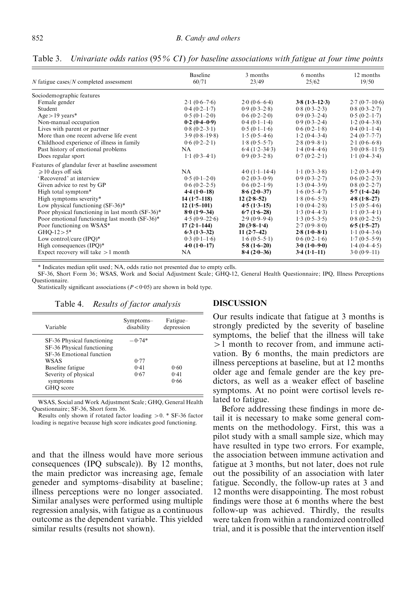Table 3. Univariate odds ratios (95% CI) for baseline associations with fatigue at four time points

| $N$ fatigue cases/ $N$ completed assessment        | <b>Baseline</b><br>60/71            | 3 months<br>23/49 | 6 months<br>25/62                   | 12 months<br>19/50                  |
|----------------------------------------------------|-------------------------------------|-------------------|-------------------------------------|-------------------------------------|
| Sociodemographic features                          |                                     |                   |                                     |                                     |
| Female gender                                      | $2.1(0.6-7.6)$                      | $2.0(0.6-6.4)$    | $3.8(1.3-12.3)$                     | $2.7(0.7-10.6)$                     |
| Student                                            | $0.4(0.2-1.7)$                      | $0.9(0.3-2.8)$    | $0.8(0.3-2.3)$                      | $0.8(0.3-2.7)$                      |
| $Age > 19 \text{ years}$ *                         | $0.5(0.1-2.0)$                      | $0.6(0.2-2.0)$    | $0.9(0.3-2.4)$                      | $0.5(0.2-1.7)$                      |
| Non-manual occupation                              | $0.2(0.4-0.9)$                      | $0.4(0.1-1.4)$    | $0.9(0.3-2.4)$                      | $1.2(0.4-3.8)$                      |
| Lives with parent or partner                       | $0.8(0.2-3.1)$                      | $0.5(0.1-1.6)$    | $0.6(0.2-1.8)$                      | $0.4(0.1-1.4)$                      |
| More than one recent adverse life event            | $3.9(0.8-19.8)$                     | $1.5(0.5-4.6)$    | $1.2(0.4-3.4)$                      | $2.4(0.7-7.7)$                      |
| Childhood experience of illness in family          | $0.6(0.2-2.1)$                      | $1.8(0.5-5.7)$    | $2.8(0.9-8.1)$                      | $2.1(0.6-6.8)$                      |
| Past history of emotional problems                 | NA.                                 | $6.4(1.2-34.3)$   | $1.4(0.4-4.6)$                      | $3.0(0.8-11.5)$                     |
| Does regular sport                                 | $1 \cdot 1 (0 \cdot 3 - 4 \cdot 1)$ | $0.9(0.3-2.8)$    | $0.7(0.2-2.1)$                      | $1.1(0.4-3.4)$                      |
| Features of glandular fever at baseline assessment |                                     |                   |                                     |                                     |
| $\geq 10$ days off sick                            | <b>NA</b>                           | $4.0(1.1-14.4)$   | $1 \cdot 1 (0 \cdot 3 - 3 \cdot 8)$ | $1.2(0.3-4.9)$                      |
| 'Recovered' at interview                           | $0.5(0.1-2.0)$                      | $0.2(0.3-0.9)$    | $0.9(0.3-2.7)$                      | $0.6(0.2-2.3)$                      |
| Given advice to rest by GP                         | $0.6(0.2-2.5)$                      | $0.6(0.2-1.9)$    | $1.3(0.4-3.9)$                      | $0.8(0.2-2.7)$                      |
| High total symptom*                                | $4.4(1.0-18)$                       | $8.6(2.0-37)$     | $1.6(0.5-4.7)$                      | $5.7(1.4-24)$                       |
| High symptoms severity*                            | $14(1.7-118)$                       | $12(2.8-52)$      | $1.8(0.6-5.3)$                      | $4.8(1.8-27)$                       |
| Low physical functioning $(SF-36)^*$               | $12(1.5-101)$                       | $4.5(1.3-15)$     | $1.0(0.4-2.8)$                      | $1.5(0.5-4.6)$                      |
| Poor physical functioning in last month (SF-36)*   | $8.0(1.9-34)$                       | $6.7(1.6-28)$     | $1.3(0.4-4.3)$                      | $1 \cdot 1 (0 \cdot 3 - 4 \cdot 1)$ |
| Poor emotional functioning last month (SF-36)*     | $4.5(0.9-22.6)$                     | $2.9(0.9-9.4)$    | $1.3(0.5-3.5)$                      | $0.8(0.2-2.5)$                      |
| Poor functioning on WSAS*                          | $17(2.1-144)$                       | $20(3.8-1.4)$     | $2.7(0.9-8.0)$                      | $6.5(1.5-27)$                       |
| $GHO-12 > 5*$                                      | $6.3(1.3-32)$                       | 11 $(2.7-42)$     | $2.8(1.0 - 8.1)$                    | $1 \cdot 1 (0 \cdot 4 - 3 \cdot 6)$ |
| Low control/cure $(IPQ)^*$                         | $0.3(0.1-1.6)$                      | $1.6(0.5-5.1)$    | $0.6(0.2-1.6)$                      | $1.7(0.5-5.9)$                      |
| High consequences $(IPQ)^*$                        | $4.0(1.0-17)$                       | $5.8(1.6-20)$     | $3.0(1.0-9.0)$                      | $1.4(0.4-4.5)$                      |
| Expect recovery will take $>1$ month               | <b>NA</b>                           | $8.4(2.0-36)$     | $3.4(1-1-11)$                       | $3.0(0.9-11)$                       |

\* Indicates median split used; NA, odds ratio not presented due to empty cells.

SF-36, Short Form 36; WSAS, Work and Social Adjustment Scale; GHQ-12, General Health Questionnaire; IPQ, Illness Perceptions Questionnaire.

Statistically significant associations  $(P < 0.05)$  are shown in bold type.

| Variable                   | Symptoms-<br>disability | Fatigue-<br>depression |
|----------------------------|-------------------------|------------------------|
| SF-36 Physical functioning | $-0.74*$                |                        |
| SF-36 Physical functioning |                         |                        |
| SF-36 Emotional function   |                         |                        |
| WSAS                       | 0.77                    |                        |
| Baseline fatigue           | 0.41                    | 0.60                   |
| Severity of physical       | 0.67                    | 0.41                   |
| symptoms                   |                         | 0.66                   |
| GHO score                  |                         |                        |

Table 4. Results of factor analysis

WSAS, Social and Work Adjustment Scale; GHQ, General Health Questionnaire; SF-36, Short form 36.

Results only shown if rotated factor loading >0. \* SF-36 factor loading is negative because high score indicates good functioning.

and that the illness would have more serious consequences (IPQ subscale)). By 12 months, the main predictor was increasing age, female geneder and symptoms–disability at baseline; illness perceptions were no longer associated. Similar analyses were performed using multiple regression analysis, with fatigue as a continuous outcome as the dependent variable. This yielded similar results (results not shown).

#### **DISCUSSION**

Our results indicate that fatigue at 3 months is strongly predicted by the severity of baseline symptoms, the belief that the illness will take >1 month to recover from, and immune activation. By 6 months, the main predictors are illness perceptions at baseline, but at 12 months older age and female gender are the key predictors, as well as a weaker effect of baseline symptoms. At no point were cortisol levels related to fatigue.

Before addressing these findings in more detail it is necessary to make some general comments on the methodology. First, this was a pilot study with a small sample size, which may have resulted in type two errors. For example, the association between immune activation and fatigue at 3 months, but not later, does not rule out the possibility of an association with later fatigue. Secondly, the follow-up rates at 3 and 12 months were disappointing. The most robust findings were those at 6 months where the best follow-up was achieved. Thirdly, the results were taken from within a randomized controlled trial, and it is possible that the intervention itself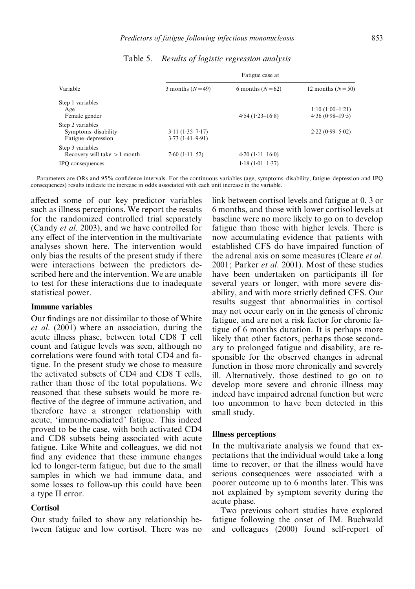| Variable                      | Fatigue case at     |                   |                     |
|-------------------------------|---------------------|-------------------|---------------------|
|                               | 3 months $(N=49)$   | 6 months $(N=62)$ | 12 months $(N=50)$  |
| Step 1 variables              |                     |                   |                     |
| Age                           |                     |                   | $1.10(1.00-1.21)$   |
| Female gender                 |                     | $4.54(1.23-16.8)$ | $4.36(0.98-19.5)$   |
| Step 2 variables              |                     |                   |                     |
| Symptoms-disability           | $3.11(1.35 - 7.17)$ |                   | $2.22(0.99 - 5.02)$ |
| Fatigue–depression            | $3.73(1.41 - 9.91)$ |                   |                     |
| Step 3 variables              |                     |                   |                     |
| Recovery will take $>1$ month | $7.60(1.11-52)$     | $4.20(1.11-16.0)$ |                     |
| IPO consequences              |                     | $1.18(1.01-1.37)$ |                     |

Table 5. Results of logistic regression analysis

Parameters are ORs and 95% confidence intervals. For the continuous variables (age, symptoms–disability, fatigue–depression and IPQ consequences) results indicate the increase in odds associated with each unit increase in the variable.

affected some of our key predictor variables such as illness perceptions. We report the results for the randomized controlled trial separately (Candy et al. 2003), and we have controlled for any effect of the intervention in the multivariate analyses shown here. The intervention would only bias the results of the present study if there were interactions between the predictors described here and the intervention. We are unable to test for these interactions due to inadequate statistical power.

# Immune variables

Our findings are not dissimilar to those of White et al. (2001) where an association, during the acute illness phase, between total CD8 T cell count and fatigue levels was seen, although no correlations were found with total CD4 and fatigue. In the present study we chose to measure the activated subsets of CD4 and CD8 T cells, rather than those of the total populations. We reasoned that these subsets would be more reflective of the degree of immune activation, and therefore have a stronger relationship with acute, 'immune-mediated' fatigue. This indeed proved to be the case, with both activated CD4 and CD8 subsets being associated with acute fatigue. Like White and colleagues, we did not find any evidence that these immune changes led to longer-term fatigue, but due to the small samples in which we had immune data, and some losses to follow-up this could have been a type II error.

## **Cortisol**

Our study failed to show any relationship between fatigue and low cortisol. There was no link between cortisol levels and fatigue at 0, 3 or 6 months, and those with lower cortisol levels at baseline were no more likely to go on to develop fatigue than those with higher levels. There is now accumulating evidence that patients with established CFS do have impaired function of the adrenal axis on some measures (Cleare *et al.*) 2001: Parker *et al.* 2001). Most of these studies have been undertaken on participants ill for several years or longer, with more severe disability, and with more strictly defined CFS. Our results suggest that abnormalities in cortisol may not occur early on in the genesis of chronic fatigue, and are not a risk factor for chronic fatigue of 6 months duration. It is perhaps more likely that other factors, perhaps those secondary to prolonged fatigue and disability, are responsible for the observed changes in adrenal function in those more chronically and severely ill. Alternatively, those destined to go on to develop more severe and chronic illness may indeed have impaired adrenal function but were too uncommon to have been detected in this small study.

#### Illness perceptions

In the multivariate analysis we found that expectations that the individual would take a long time to recover, or that the illness would have serious consequences were associated with a poorer outcome up to 6 months later. This was not explained by symptom severity during the acute phase.

Two previous cohort studies have explored fatigue following the onset of IM. Buchwald and colleagues (2000) found self-report of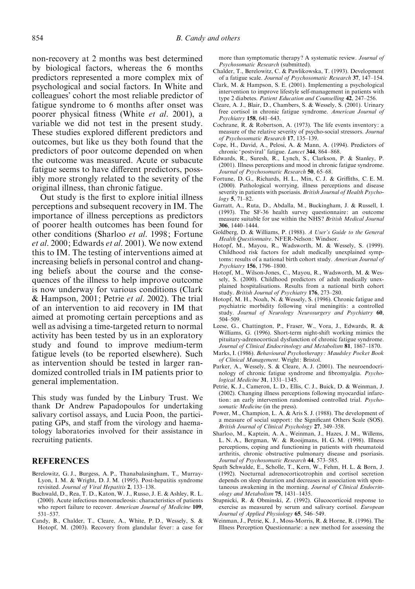non-recovery at 2 months was best determined by biological factors, whereas the 6 months predictors represented a more complex mix of psychological and social factors. In White and colleagues' cohort the most reliable predictor of fatigue syndrome to 6 months after onset was poorer physical fitness (White et al. 2001), a variable we did not test in the present study. These studies explored different predictors and outcomes, but like us they both found that the predictors of poor outcome depended on when the outcome was measured. Acute or subacute fatigue seems to have different predictors, possibly more strongly related to the severity of the original illness, than chronic fatigue.

Out study is the first to explore initial illness perceptions and subsequent recovery in IM. The importance of illness perceptions as predictors of poorer health outcomes has been found for other conditions (Sharloo et al. 1998; Fortune et al. 2000; Edwards et al. 2001). We now extend this to IM. The testing of interventions aimed at increasing beliefs in personal control and changing beliefs about the course and the consequences of the illness to help improve outcome is now underway for various conditions (Clark & Hampson, 2001; Petrie et al. 2002). The trial of an intervention to aid recovery in IM that aimed at promoting certain perceptions and as well as advising a time-targeted return to normal activity has been tested by us in an exploratory study and found to improve medium-term fatigue levels (to be reported elsewhere). Such as intervention should be tested in larger randomized controlled trials in IM patients prior to general implementation.

This study was funded by the Linbury Trust. We thank Dr Andrew Papadopoulos for undertaking salivary cortisol assays, and Lucia Poon, the participating GPs, and staff from the virology and haematology laboratories involved for their assistance in recruiting patients.

## **REFERENCES**

- Berelowitz, G. J., Burgess, A. P., Thanabalasingham, T., Murray-Lyon, I. M. & Wright, D. J. M. (1995). Post-hepatitis syndrome revisited. Journal of Viral Hepatitis 2, 133–138.
- Buchwald, D., Rea, T. D., Katon, W. J., Russo, J. E. & Ashley, R. L. (2000). Acute infectious mononucleosis: characteristics of patients who report failure to recover. American Journal of Medicine 109, 531–537.
- Candy, B., Chalder, T., Cleare, A., White, P. D., Wessely, S. & Hotopf, M. (2003). Recovery from glandular fever: a case for

more than symptomatic therapy? A systematic review. Journal of Psychosomatic Research (submitted).

- Chalder, T., Berelowitz, C. & Pawlikowska, T. (1993). Development of a fatigue scale. Journal of Psychosomatic Research 37, 147–154.
- Clark, M. & Hampson, S. E. (2001). Implementing a psychological intervention to improve lifestyle self-management in patients with type 2 diabetes. Patient Education and Counselling 42, 247–256.
- Cleare, A. J., Blair, D., Chambers, S. & Wessely, S. (2001). Urinary free cortisol in chronic fatigue syndrome. American Journal of Psychiatry 158, 641–643.
- Cochrane, R. & Robertson, A. (1973). The life events inventory: a measure of the relative severity of psycho-social stressors. Journal of Psychosomatic Research 17, 135–139.
- Cope, H., David, A., Pelosi, A. & Mann, A. (1994). Predictors of chronic 'postviral' fatigue. Lancet 344, 864-868.
- Edwards, R., Suresh, R., Lynch, S., Clarkson, P. & Stanley, P. (2001). Illness perceptions and mood in chronic fatigue syndrome. Journal of Psychosomatic Research 50, 65-68.
- Fortune, D. G., Richards, H. L., Min, C. J. & Griffiths, C. E. M. (2000). Pathological worrying, illness perceptions and disease severity in patients with psoriasis. British Journal of Health Psychology 5, 71–82.
- Garratt, A., Ruta, D., Abdalla, M., Buckingham, J. & Russell, I. (1993). The SF-36 health survey questionnaire: an outcome measure suitable for use within the NHS? *British Medical Journal* 306, 1440–1444.
- Goldberg, D. & Williams, P. (1988). A User's Guide to the General Health Questionnaire. NFER-Nelson: Windsor.
- Hotopf, M., Mayou, R., Wadsworth, M. & Wessely, S. (1999). Childhood risk factors for adult medically unexplained symptoms: results of a national birth cohort study. American Journal of Psychiatry 156, 1796–1800.
- Hotopf, M., Wilson-Jones, C., Mayou, R., Wadsworth, M. & Wessely, S. (2000). Childhood predictors of adult medically unexplained hospitalisations. Results from a national birth cohort study. British Journal of Psychiatry 176, 273–280.
- Hotopf, M. H., Noah, N. & Wessely, S. (1996). Chronic fatigue and psychiatric morbidity following viral meningitis: a controlled study. Journal of Neurology Neurosurgery and Psychiatry 60, 504–509.
- Leese, G., Chattington, P., Fraser, W., Vora, J., Edwards, R. & Williams, G. (1996). Short-term night-shift working mimics the pituitary-adrenocortical dysfunction of chronic fatigue syndrome. Journal of Clinical Endocrinology and Metabolism 81, 1867-1870.
- Marks, I. (1986). Behavioural Psychotherapy : Maudsley Pocket Book of Clinical Management. Wright: Bristol.
- Parker, A., Wessely, S. & Cleare, A. J. (2001). The neuroendocrinology of chronic fatigue syndrome and fibromyalgia. Psychological Medicine 31, 1331–1345.
- Petrie, K. J., Cameron, L. D., Ellis, C. J., Buick, D. & Weinman, J. (2002). Changing illness perceptions following myocardial infarction: an early intervention randomised controlled trial. Psychosomatic Medicine (in the press).
- Power, M., Champion, L. A. & Aris S. J. (1988). The development of a measure of social support: the Significant Others Scale (SOS). British Journal of Clinical Psychology 27, 349–358.
- Sharloo, M., Kaptein, A. A., Weinman, J., Hazes, J. M., Willems, L. N. A., Bergman, W. & Rooijmans, H. G. M. (1998). Illness perceptions, coping and functioning in patients with rheumatoid arthritis, chronic obstructive pulmonary disease and psoriasis. Journal of Psychosomatic Research 44, 573–585.
- Spath Schwalde, E., Scholle, T., Kern, W., Fehm, H. L. & Born, J. (1992). Nocturnal adrenocorticotrophin and cortisol secretion depends on sleep duration and decreases in association with spontaneous awakening in the morning. Journal of Clinical Endocrinology and Metabolism 75, 1431–1435.
- Stupnicki, R. & Obminski, Z. (1992). Glucocorticoid response to exercise as measured by serum and salivary cortisol. European Journal of Applied Physiology 65, 546-549.
- Weinman, J., Petrie, K. J., Moss-Morris, R. & Horne, R. (1996). The Illness Perception Questionnarie: a new method for assessing the